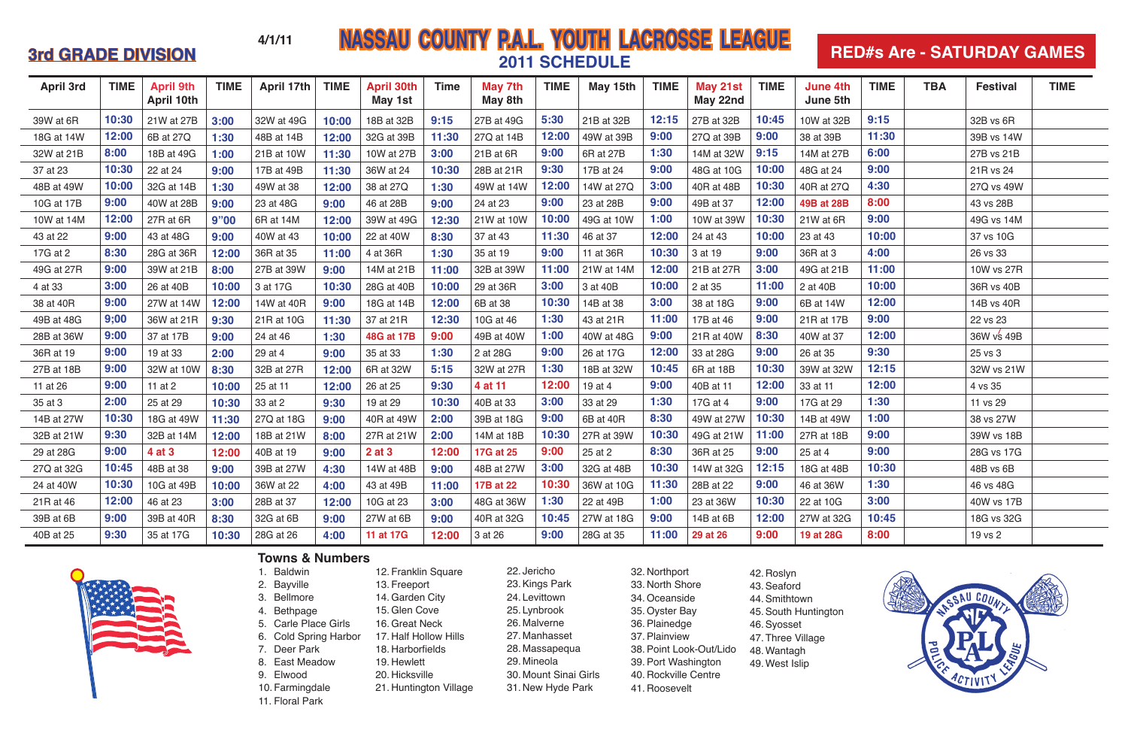# **APRIL 1979 14/1/11 MASSAU COUNTY P.A.L. YOUTH LACROSSE LEAGUE 2011 SCHEDULE**

| <b>April 3rd</b> | <b>TIME</b> | <b>April 9th</b><br>April 10th | <b>TIME</b> | <b>April 17th</b> | <b>TIME</b> | <b>April 30th</b><br>May 1st | <b>Time</b> | May 7th<br>May 8th | <b>TIME</b> | May 15th   | <b>TIME</b> | May 21st<br>May 22nd | <b>TIME</b> | <b>June 4th</b><br>June 5th | <b>TIME</b> | <b>TBA</b> | <b>Festival</b> | <b>TIME</b> |
|------------------|-------------|--------------------------------|-------------|-------------------|-------------|------------------------------|-------------|--------------------|-------------|------------|-------------|----------------------|-------------|-----------------------------|-------------|------------|-----------------|-------------|
| 39W at 6R        | 10:30       | 21W at 27B                     | 3:00        | 32W at 49G        | 10:00       | 18B at 32B                   | 9:15        | 27B at 49G         | 5:30        | 21B at 32B | 12:15       | 27B at 32B           | 10:45       | 10W at 32B                  | 9:15        |            | 32B vs 6R       |             |
| 18G at 14W       | 12:00       | 6B at 27Q                      | 1:30        | 48B at 14B        | 12:00       | 32G at 39B                   | 11:30       | 27Q at 14B         | 12:00       | 49W at 39B | 9:00        | 27Q at 39B           | 9:00        | 38 at 39B                   | 11:30       |            | 39B vs 14W      |             |
| 32W at 21B       | 8:00        | 18B at 49G                     | 1:00        | 21B at 10W        | 11:30       | 10W at 27B                   | 3:00        | 21B at 6R          | 9:00        | 6R at 27B  | 1:30        | 14M at 32W           | 9:15        | 14M at 27B                  | 6:00        |            | 27B vs 21B      |             |
| 37 at 23         | 10:30       | 22 at 24                       | 9:00        | 17B at 49B        | 11:30       | 36W at 24                    | 10:30       | 28B at 21R         | 9:30        | 17B at 24  | 9:00        | 48G at 10G           | 10:00       | 48G at 24                   | 9:00        |            | 21R vs 24       |             |
| 48B at 49W       | 10:00       | 32G at 14B                     | 1:30        | 49W at 38         | 12:00       | 38 at 27Q                    | 1:30        | 49W at 14W         | 12:00       | 14W at 27Q | 3:00        | 40R at 48B           | 10:30       | 40R at 27Q                  | 4:30        |            | 27Q vs 49W      |             |
| 10G at 17B       | 9:00        | 40W at 28B                     | 9:00        | 23 at 48G         | 9:00        | 46 at 28B                    | 9:00        | 24 at 23           | 9:00        | 23 at 28B  | 9:00        | 49B at 37            | 12:00       | 49B at 28B                  | 8:00        |            | 43 vs 28B       |             |
| 10W at 14M       | 12:00       | 27R at 6R                      | 9"00        | 6R at 14M         | 12:00       | 39W at 49G                   | 12:30       | 21W at 10W         | 10:00       | 49G at 10W | 1:00        | 10W at 39W           | 10:30       | 21W at 6R                   | 9:00        |            | 49G vs 14M      |             |
| 43 at 22         | 9:00        | 43 at 48G                      | 9:00        | 40W at 43         | 10:00       | 22 at 40W                    | 8:30        | 37 at 43           | 11:30       | 46 at 37   | 12:00       | 24 at 43             | 10:00       | 23 at 43                    | 10:00       |            | 37 vs 10G       |             |
| 17G at 2         | 8:30        | 28G at 36R                     | 12:00       | 36R at 35         | 11:00       | 4 at 36R                     | 1:30        | 35 at 19           | 9:00        | 11 at 36R  | 10:30       | 3 at 19              | 9:00        | 36R at 3                    | 4:00        |            | 26 vs 33        |             |
| 49G at 27R       | 9:00        | 39W at 21B                     | 8:00        | 27B at 39W        | 9:00        | 14M at 21B                   | 11:00       | 32B at 39W         | 11:00       | 21W at 14M | 12:00       | 21B at 27R           | 3:00        | 49G at 21B                  | 11:00       |            | 10W vs 27R      |             |
| 4 at 33          | 3:00        | 26 at 40B                      | 10:00       | 3 at 17G          | 10:30       | 28G at 40B                   | 10:00       | 29 at 36R          | 3:00        | 3 at 40B   | 10:00       | 2 at 35              | 11:00       | 2 at 40B                    | 10:00       |            | 36R vs 40B      |             |
| 38 at 40R        | 9:00        | 27W at 14W                     | 12:00       | 14W at 40R        | 9:00        | 18G at 14B                   | 12:00       | 6B at 38           | 10:30       | 14B at 38  | 3:00        | 38 at 18G            | 9:00        | 6B at 14W                   | 12:00       |            | 14B vs 40R      |             |
| 49B at 48G       | 9;00        | 36W at 21R                     | 9:30        | 21R at 10G        | 11:30       | 37 at 21R                    | 12:30       | 10G at 46          | 1:30        | 43 at 21R  | 11:00       | 17B at 46            | 9:00        | 21R at 17B                  | 9:00        |            | 22 vs 23        |             |
| 28B at 36W       | 9:00        | 37 at 17B                      | 9:00        | 24 at 46          | 1:30        | 48G at 17B                   | 9:00        | 49B at 40W         | 1:00        | 40W at 48G | 9:00        | 21R at 40W           | 8:30        | 40W at 37                   | 12:00       |            | 36W vs 49B      |             |
| 36R at 19        | 9:00        | 19 at 33                       | 2:00        | 29 at 4           | 9:00        | 35 at 33                     | 1:30        | 2 at 28G           | 9:00        | 26 at 17G  | 12:00       | 33 at 28G            | 9:00        | 26 at 35                    | 9:30        |            | 25 vs 3         |             |
| 27B at 18B       | 9:00        | 32W at 10W                     | 8:30        | 32B at 27R        | 12:00       | 6R at 32W                    | 5:15        | 32W at 27R         | 1:30        | 18B at 32W | 10:45       | 6R at 18B            | 10:30       | 39W at 32W                  | 12:15       |            | 32W vs 21W      |             |
| 11 at 26         | 9:00        | 11 at 2                        | 10:00       | 25 at 11          | 12:00       | 26 at 25                     | 9:30        | 4 at 11            | 12:00       | 19 at 4    | 9:00        | 40B at 11            | 12:00       | 33 at 11                    | 12:00       |            | 4 vs 35         |             |
| 35 at 3          | 2:00        | 25 at 29                       | 10:30       | 33 at 2           | 9:30        | 19 at 29                     | 10:30       | 40B at 33          | 3:00        | 33 at 29   | 1:30        | 17G at 4             | 9:00        | 17G at 29                   | 1:30        |            | 11 vs 29        |             |
| 14B at 27W       | 10:30       | 18G at 49W                     | 11:30       | 27Q at 18G        | 9:00        | 40R at 49W                   | 2:00        | 39B at 18G         | 9:00        | 6B at 40R  | 8:30        | 49W at 27W           | 10:30       | 14B at 49W                  | 1:00        |            | 38 vs 27W       |             |
| 32B at 21W       | 9:30        | 32B at 14M                     | 12:00       | 18B at 21W        | 8:00        | 27R at 21W                   | 2:00        | 14M at 18B         | 10:30       | 27R at 39W | 10:30       | 49G at 21W           | 11:00       | 27R at 18B                  | 9:00        |            | 39W vs 18B      |             |
| 29 at 28G        | 9:00        | 4 at 3                         | 12:00       | 40B at 19         | 9:00        | 2 at 3                       | 12:00       | 17G at 25          | 9:00        | 25 at 2    | 8:30        | 36R at 25            | 9:00        | 25 at 4                     | 9:00        |            | 28G vs 17G      |             |
| 27Q at 32G       | 10:45       | 48B at 38                      | 9:00        | 39B at 27W        | 4:30        | 14W at 48B                   | 9:00        | 48B at 27W         | 3:00        | 32G at 48B | 10:30       | 14W at 32G           | 12:15       | 18G at 48B                  | 10:30       |            | 48B vs 6B       |             |
| 24 at 40W        | 10:30       | 10G at 49B                     | 10:00       | 36W at 22         | 4:00        | 43 at 49B                    | 11:00       | 17B at 22          | 10:30       | 36W at 10G | 11:30       | 28B at 22            | 9:00        | 46 at 36W                   | 1:30        |            | 46 vs 48G       |             |
| 21R at 46        | 12:00       | 46 at 23                       | 3:00        | 28B at 37         | 12:00       | 10G at 23                    | 3:00        | 48G at 36W         | 1:30        | 22 at 49B  | 1:00        | 23 at 36W            | 10:30       | 22 at 10G                   | 3:00        |            | 40W vs 17B      |             |
| 39B at 6B        | 9:00        | 39B at 40R                     | 8:30        | 32G at 6B         | 9:00        | 27W at 6B                    | 9:00        | 40R at 32G         | 10:45       | 27W at 18G | 9:00        | 14B at 6B            | 12:00       | 27W at 32G                  | 10:45       |            | 18G vs 32G      |             |
| 40B at 25        | 9:30        | 35 at 17G                      | 10:30       | 28G at 26         | 4:00        | 11 at 17G                    | 12:00       | 3 at 26            | 9:00        | 28G at 35  | 11:00       | 29 at 26             | 9:00        | 19 at 28G                   | 8:00        |            | 19 vs 2         |             |



1. Baldwin 2. Bayville 3. Bellmore

- 4. Bethpage
- 5. Carle Place Girls 6. Cold Spring Harbor
- 7. Deer Park
- 8. East Meadow
- 9. Elwood
- 10. Farmingdale
- 
- 12. Franklin Square 13. Freeport
- 14.Garden City
- 15.Glen Cove
- 
- 17. Half Hollow Hills
- 
- 19. Hewlett
- 
- 
- 11. Floral Park
- 16.Great Neck
- 18. Harborfields
- 
- 
- 
- 
- 
- 
- 
- 
- 20. Hicksville
- 21. Huntington Village
- 

### **Towns & Numbers**

# **RED#s Are - SATURDAY GAMES**



- 22. Jericho 23.Kings Park 24. Levittown 25. Lynbrook 26. Malverne 27. Manhasset 28. Massapequa 29. Mineola 30. Mount Sinai Girls 31. New Hyde Park
	- 32. Northport 33. North Shore 34.Oceanside 35.Oyster Bay 36.Plainedge 37.Plainview 38.Point Look-Out/Lido 39.Port Washington 40. Rockville Centre 41. Roosevelt
- 42. Roslyn 43.Seaford 44.Smithtown 45.South Huntington 46.Syosset 47. Three Village 48.Wantagh 49.West Islip

**4/1/11**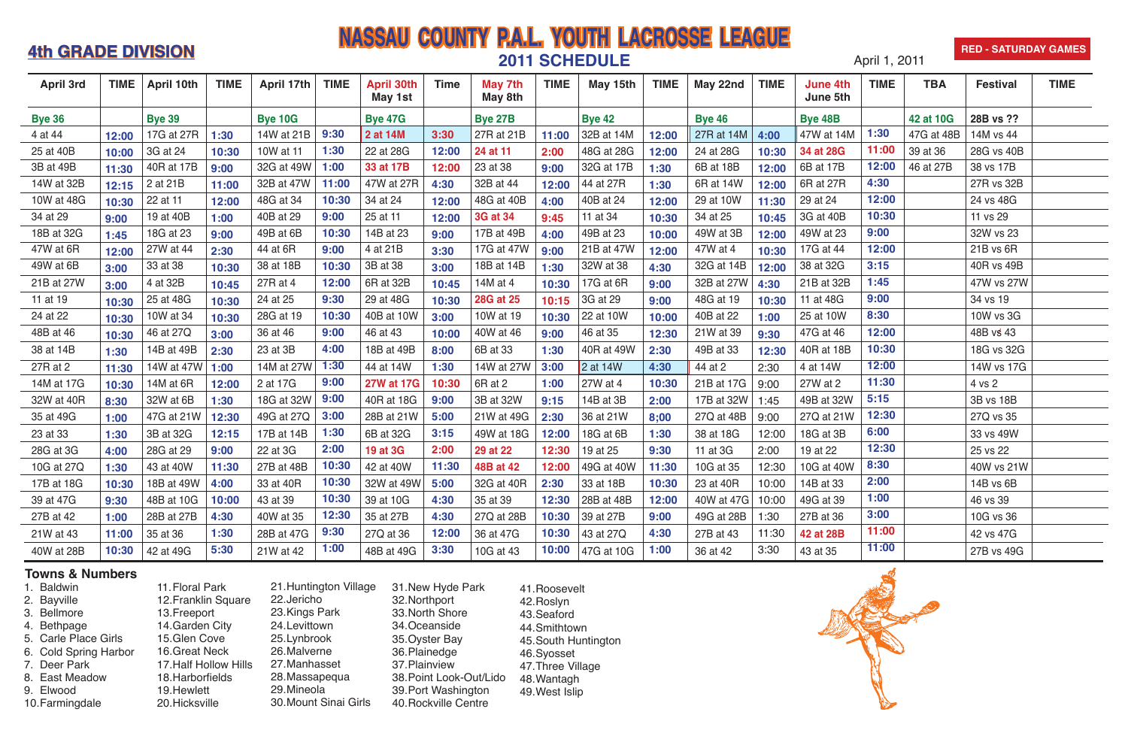# **APRIL 1, 2011 1, 2011 <b>NASSAU COUNTY P.A.L. YOUTH LACROSSE LEAGUE 2011 SCHEDULE**

#### **RED - SATURDAY GAMES**



### **Towns & Numbers**

1. Baldwin 2. Bayville 3. Bellmore 4. Bethpage 5. Carle Place Girls 6. Cold Spring Harbor 7. Deer Park 8. East Meadow 9. Elwood 10.Farmingdale 11.Floral Park 12.Franklin Square 13.Freeport 14.Garden City 15.Glen Cove 16.Great Neck 17.Half Hollow Hills 18.Harborfields 19.Hewlett 20.Hicksville 21.Huntington Village 22.Jericho 23.Kings Park 24.Levittown 25.Lynbrook 26.Malverne 27.Manhasset 28.Massapequa 29.Mineola 30.Mount Sinai Girls 31.New Hyde Park 32.Northport 33.North Shore 34.Oceanside 35.Oyster Bay 36.Plainedge 37.Plainview 38.Point Look-Out/Lido 39.Port Washington 40.Rockville Centre 41.Roosevelt 42.Roslyn 43.Seaford 44.Smithtown 45.South Huntington 46.Syosset 47.Three Village 48.Wantagh 49.West Islip

| <b>April 3rd</b> | <b>TIME</b> | <b>April 10th</b>        | <b>TIME</b> | <b>April 17th</b> | <b>TIME</b> | <b>April 30th</b><br>May 1st | <b>Time</b> | May 7th<br>May 8th      | <b>TIME</b> | May 15th                      | <b>TIME</b> | May 22nd      | <b>TIME</b> | <b>June 4th</b><br>June 5th | <b>TIME</b> | <b>TBA</b> | <b>Festival</b> | <b>TIME</b> |
|------------------|-------------|--------------------------|-------------|-------------------|-------------|------------------------------|-------------|-------------------------|-------------|-------------------------------|-------------|---------------|-------------|-----------------------------|-------------|------------|-----------------|-------------|
| <b>Bye 36</b>    |             | <b>Bye 39</b>            |             | <b>Bye 10G</b>    |             | <b>Bye 47G</b>               |             | <b>Bye 27B</b>          |             | <b>Bye 42</b>                 |             | <b>Bye 46</b> |             | <b>Bye 48B</b>              |             | 42 at 10G  | 28B vs ??       |             |
| 4 at 44          | 12:00       | 17G at 27R               | 1:30        | 14W at 21B        | 9:30        | 2 at 14M                     | 3:30        | 27R at 21B              | 11:00       | 32B at 14M                    | 12:00       | 27R at 14M    | 4:00        | 47W at 14M                  | 1:30        | 47G at 48B | 14M vs 44       |             |
| 25 at 40B        | 10:00       | 3G at 24                 | 10:30       | 10W at 11         | 1:30        | 22 at 28G                    | 12:00       | 24 at 11                | 2:00        | 48G at 28G                    | 12:00       | 24 at 28G     | 10:30       | 34 at 28G                   | 11:00       | 39 at 36   | 28G vs 40B      |             |
| 3B at 49B        | 11:30       | 40R at 17B               | 9:00        | 32G at 49W        | 1:00        | 33 at 17B                    | 12:00       | 23 at 38                | 9:00        | 32G at 17B                    | 1:30        | 6B at 18B     | 12:00       | 6B at 17B                   | 12:00       | 46 at 27B  | 38 vs 17B       |             |
| 14W at 32B       | 12:15       | 2 at 21B                 | 11:00       | 32B at 47W        | 11:00       | 47W at 27R                   | 4:30        | 32B at 44               | 12:00       | 44 at 27R                     | 1:30        | 6R at 14W     | 12:00       | 6R at 27R                   | 4:30        |            | 27R vs 32B      |             |
| 10W at 48G       | 10:30       | 22 at 11                 | 12:00       | 48G at 34         | 10:30       | 34 at 24                     | 12:00       | 48G at 40B              | 4:00        | 40B at 24                     | 12:00       | 29 at 10W     | 11:30       | 29 at 24                    | 12:00       |            | 24 vs 48G       |             |
| 34 at 29         | 9:00        | 19 at 40B                | 1:00        | 40B at 29         | 9:00        | 25 at 11                     | 12:00       | <b>3G at 34</b>         | 9:45        | 11 at 34                      | 10:30       | 34 at 25      | 10:45       | 3G at 40B                   | 10:30       |            | 11 vs 29        |             |
| 18B at 32G       | 1:45        | 18G at 23                | 9:00        | 49B at 6B         | 10:30       | 14B at 23                    | 9:00        | 17B at 49B              | 4:00        | 49B at 23                     | 10:00       | 49W at 3B     | 12:00       | 49W at 23                   | 9:00        |            | 32W vs 23       |             |
| 47W at 6R        | 12:00       | 27W at 44                | 2:30        | 44 at 6R          | 9:00        | 4 at 21B                     | 3:30        | 17G at 47W              | 9:00        | 21B at 47W                    | 12:00       | 47W at 4      | 10:30       | 17G at 44                   | 12:00       |            | 21B vs 6R       |             |
| 49W at 6B        | 3:00        | 33 at 38                 | 10:30       | 38 at 18B         | 10:30       | 3B at 38                     | 3:00        | 18B at 14B              | 1:30        | 32W at 38                     | 4:30        | 32G at 14B    | 12:00       | 38 at 32G                   | 3:15        |            | 40R vs 49B      |             |
| 21B at 27W       | 3:00        | 4 at 32B                 | 10:45       | 27R at 4          | 12:00       | 6R at 32B                    | 10:45       | 14M at 4                | 10:30       | 17G at 6R                     | 9:00        | 32B at 27W    | 4:30        | 21B at 32B                  | 1:45        |            | 47W vs 27W      |             |
| 11 at 19         | 10:30       | 25 at 48G                | 10:30       | 24 at 25          | 9:30        | 29 at 48G                    | 10:30       | <b>28G at 25</b>        | 10:15       | 3G at 29                      | 9:00        | 48G at 19     | 10:30       | 11 at 48G                   | 9:00        |            | 34 vs 19        |             |
| 24 at 22         | 10:30       | 10W at 34                | 10:30       | 28G at 19         | 10:30       | 40B at 10W                   | 3:00        | 10W at 19               | 10:30       | 22 at 10W                     | 10:00       | 40B at 22     | 1:00        | 25 at 10W                   | 8:30        |            | 10W vs 3G       |             |
| 48B at 46        | 10:30       | 46 at 27Q                | 3:00        | 36 at 46          | 9:00        | 46 at 43                     | 10:00       | 40W at 46               | 9:00        | 46 at 35                      | 12:30       | 21W at 39     | 9:30        | 47G at 46                   | 12:00       |            | 48B vs 43       |             |
| 38 at 14B        | 1:30        | 14B at 49B               | 2:30        | 23 at 3B          | 4:00        | 18B at 49B                   | 8:00        | 6B at 33                | 1:30        | 40R at 49W                    | 2:30        | 49B at 33     | 12:30       | 40R at 18B                  | 10:30       |            | 18G vs 32G      |             |
| 27R at 2         | 11:30       | 14W at 47W               | 1:00        | 14M at 27W        | 1:30        | 44 at 14W                    | 1:30        | 14W at 27W              | 3:00        | 2 at 14W                      | 4:30        | 44 at 2       | 2:30        | 4 at 14W                    | 12:00       |            | 14W vs 17G      |             |
| 14M at 17G       | 10:30       | 14M at 6R                | 12:00       | 2 at 17G          | 9:00        | <b>27W at 17G</b>            | 10:30       | 6R at 2                 | 1:00        | 27W at 4                      | 10:30       | 21B at 17G    | 9:00        | 27W at 2                    | 11:30       |            | 4 vs 2          |             |
| 32W at 40R       | 8:30        | 32W at 6B                | 1:30        | 18G at 32W        | 9:00        | 40R at 18G                   | 9:00        | 3B at 32W               | 9:15        | 14B at 3B                     | 2:00        | 17B at 32W    | 1:45        | 49B at 32W                  | 5:15        |            | 3B vs 18B       |             |
| 35 at 49G        | 1:00        | 47G at 21W               | 12:30       | 49G at 27Q        | 3:00        | 28B at 21W                   | 5:00        | 21W at 49G              | 2:30        | 36 at 21W                     | 8;00        | 27Q at 48B    | 9:00        | 27Q at 21W                  | 12:30       |            | 27Q vs 35       |             |
| 23 at 33         | 1:30        | 3B at 32G                | 12:15       | 17B at 14B        | 1:30        | 6B at 32G                    | 3:15        | 49W at 18G              | 12:00       | 18G at 6B                     | 1:30        | 38 at 18G     | 12:00       | 18G at 3B                   | 6:00        |            | 33 vs 49W       |             |
| 28G at 3G        | 4:00        | 28G at 29                | 9:00        | 22 at 3G          | 2:00        | 19 at 3G                     | 2:00        | 29 at 22                | 12:30       | 19 at 25                      | 9:30        | 11 at 3G      | 2:00        | 19 at 22                    | 12:30       |            | 25 vs 22        |             |
| 10G at 27Q       | 1:30        | 43 at 40W                | 11:30       | 27B at 48B        | 10:30       | 42 at 40W                    | 11:30       | 48B at 42               | 12:00       | 49G at 40W                    | 11:30       | 10G at 35     | 12:30       | 10G at 40W                  | 8:30        |            | 40W vs 21W      |             |
| 17B at 18G       | 10:30       | 18B at 49W   4:00        |             | 33 at 40R         | 10:30       | 32W at 49W                   | 5:00        | 32G at 40R $\vert$ 2:30 |             | 33 at 18B                     | 10:30       | 23 at 40R     | 10:00       | 14B at 33                   | 2:00        |            | 14B vs 6B       |             |
| 39 at 47G        | 9:30        | 48B at 10G               | 10:00       | 43 at 39          | 10:30       | 39 at 10G                    | 4:30        | 35 at 39                |             | 12:30 28B at 48B              | 12:00       | 40W at 47G    | 10:00       | 49G at 39                   | 1:00        |            | 46 vs 39        |             |
| 27B at 42        | 1:00        | 28B at 27B               | 4:30        | 40W at 35         | 12:30       | 35 at 27B                    | 4:30        | 27Q at 28B              |             | 10:30 $ 39$ at 27B            | 9:00        | 49G at 28B    | 1:30        | 27B at 36                   | 3:00        |            | 10G vs 36       |             |
| 21W at 43        | 11:00       | 35 at 36                 | 1:30        | 28B at 47G        | 9:30        | 27Q at 36                    | 12:00       | 36 at 47G               |             | 10:30 $ 43$ at 27Q            | 4:30        | 27B at 43     | 11:30       | 42 at 28B                   | 11:00       |            | 42 vs 47G       |             |
| 40W at 28B       |             | <b>10:30</b>   42 at 49G | 5:30        | 21W at 42         | 1:00        | 48B at 49G                   | 3:30        | 10G at 43               |             | 10:00 $ 47G \text{ at } 10G $ | 1:00        | 36 at 42      | 3:30        | 43 at 35                    | 11:00       |            | 27B vs 49G      |             |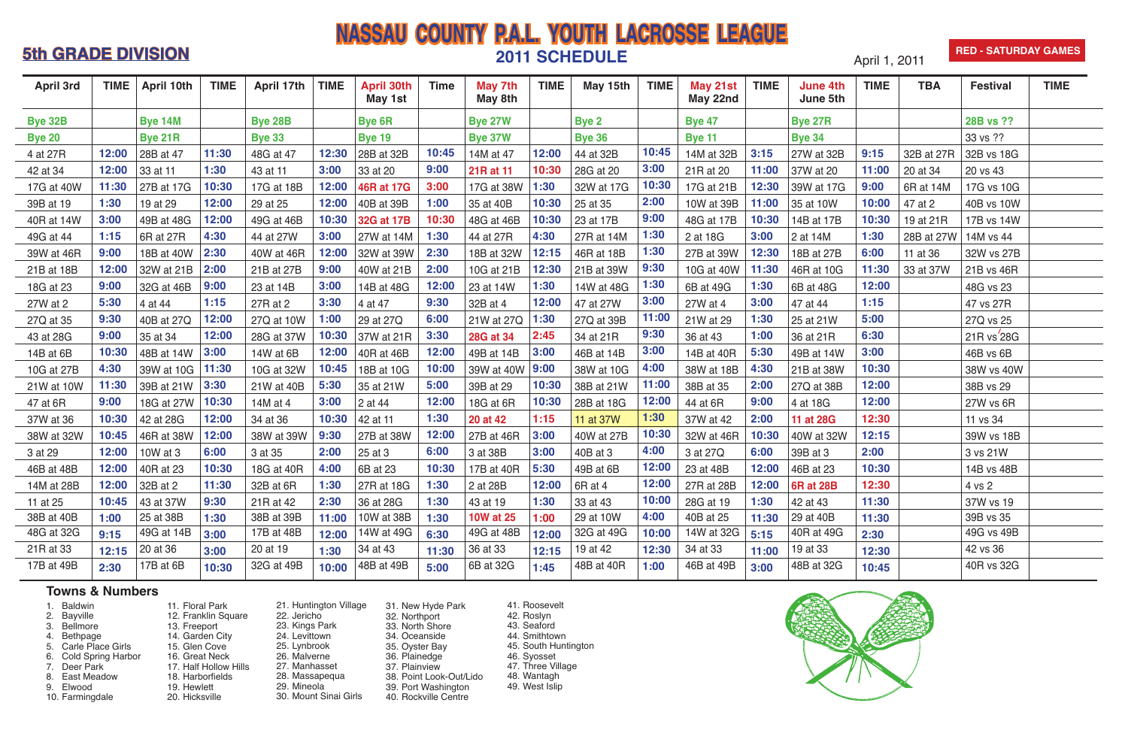- 1. Baldwin<br>2. Bayville
- 2. Bayville
- 
- 3. Bellmore<br>4. Bethpage 4. Bethpage
- 5. Carle Place Girls
- 6. Cold Spring Harbor
- 7. Deer Park
- 8. East Meadow
- 9. Elwood
- 
- 10. Farmingdale
- 11. Floral Park 12. Franklin Square 13. Freeport 14. Garden City 15. Glen Cove 16. Great Neck 17. Half Hollow Hills 18. Harborfields 19. Hewlett 20. Hicksville
- 21. Huntington Village 22. Jericho 23. Kings Park 24. Levittown 25. Lynbrook 26. Malverne 27. Manhasset 28. Massapequa 29. Mineola 30. Mount Sinai Girls
- 31. New Hyde Park
- 32. Northport
- 33. North Shore
- 34. Oceanside
- 35. Oyster Bay
- 36. Plainedge
- 37. Plainview 38. Point Look-Out/Lido
- 39. Port Washington
- 40. Rockville Centre

### **Towns & Numbers**

### **5th GRADE DIVISION**<br>**2011 SCHEDULE** April 1, 2011 **NASSAU COUNTY P.A.L. YOUTH LACROSSE LEAGUE 2011 SCHEDULE RED - SATURDAY GAMES**

| <b>April 3rd</b> | <b>TIME</b> | April 10th     | <b>TIME</b> | April 17th     | <b>TIME</b> | <b>April 30th</b><br>May 1st | <b>Time</b> | <b>May 7th</b><br>May 8th | <b>TIME</b> | May 15th      | <b>TIME</b> | May 21st<br>May 22nd | <b>TIME</b> | <b>June 4th</b><br>June 5th | <b>TIME</b> | <b>TBA</b> | <b>Festival</b> | <b>TIME</b> |
|------------------|-------------|----------------|-------------|----------------|-------------|------------------------------|-------------|---------------------------|-------------|---------------|-------------|----------------------|-------------|-----------------------------|-------------|------------|-----------------|-------------|
| <b>Bye 32B</b>   |             | <b>Bye 14M</b> |             | <b>Bye 28B</b> |             | <b>Bye 6R</b>                |             | <b>Bye 27W</b>            |             | <b>Bye 2</b>  |             | <b>Bye 47</b>        |             | <b>Bye 27R</b>              |             |            | 28B vs ??       |             |
| <b>Bye 20</b>    |             | <b>Bye 21R</b> |             | <b>Bye 33</b>  |             | <b>Bye 19</b>                |             | <b>Bye 37W</b>            |             | <b>Bye 36</b> |             | <b>Bye 11</b>        |             | <b>Bye 34</b>               |             |            | 33 vs ??        |             |
| 4 at 27R         | 12:00       | 28B at 47      | 11:30       | 48G at 47      | 12:30       | 28B at 32B                   | 10:45       | 14M at 47                 | 12:00       | 44 at 32B     | 10:45       | 14M at 32B           | 3:15        | 27W at 32B                  | 9:15        | 32B at 27R | 32B vs 18G      |             |
| 42 at 34         | 12:00       | 33 at 11       | 1:30        | 43 at 11       | 3:00        | 33 at 20                     | 9:00        | 21R at 11                 | 10:30       | 28G at 20     | 3:00        | 21R at 20            | 11:00       | 37W at 20                   | 11:00       | 20 at 34   | 20 vs 43        |             |
| 17G at 40W       | 11:30       | 27B at 17G     | 10:30       | 17G at 18B     | 12:00       | <b>46R at 17G</b>            | 3:00        | 17G at 38W                | 1:30        | 32W at 17G    | 10:30       | 17G at 21B           | 12:30       | 39W at 17G                  | 9:00        | 6R at 14M  | 17G vs 10G      |             |
| 39B at 19        | 1:30        | 19 at 29       | 12:00       | 29 at 25       | 12:00       | 40B at 39B                   | 1:00        | 35 at 40B                 | 10:30       | 25 at 35      | 2:00        | 10W at 39B           | 11:00       | 35 at 10W                   | 10:00       | 47 at 2    | 40B vs 10W      |             |
| 40R at 14W       | 3:00        | 49B at 48G     | 12:00       | 49G at 46B     | 10:30       | 32G at 17B                   | 10:30       | 48G at 46B                | 10:30       | 23 at 17B     | 9:00        | 48G at 17B           | 10:30       | 14B at 17B                  | 10:30       | 19 at 21R  | 17B vs 14W      |             |
| 49G at 44        | 1:15        | 6R at 27R      | 4:30        | 44 at 27W      | 3:00        | 27W at 14M                   | 1:30        | 44 at 27R                 | 4:30        | 27R at 14M    | 1:30        | 2 at 18G             | 3:00        | 2 at 14M                    | 1:30        | 28B at 27W | 14M vs 44       |             |
| 39W at 46R       | 9:00        | 18B at 40W     | 2:30        | 40W at 46R     | 12:00       | 32W at 39W                   | 2:30        | 18B at 32W                | 12:15       | 46R at 18B    | 1:30        | 27B at 39W           | 12:30       | 18B at 27B                  | 6:00        | 11 at 36   | 32W vs 27B      |             |
| 21B at 18B       | 12:00       | 32W at 21B     | 2:00        | 21B at 27B     | 9:00        | 40W at 21B                   | 2:00        | 10G at 21B                | 12:30       | 21B at 39W    | 9:30        | 10G at 40W           | 11:30       | 46R at 10G                  | 11:30       | 33 at 37W  | 21B vs 46R      |             |
| 18G at 23        | 9:00        | 32G at 46B     | 9:00        | 23 at 14B      | 3:00        | 14B at 48G                   | 12:00       | 23 at 14W                 | 1:30        | 14W at 48G    | 1:30        | 6B at 49G            | 1:30        | 6B at 48G                   | 12:00       |            | 48G vs 23       |             |
| 27W at 2         | 5:30        | 4 at 44        | 1:15        | 27R at 2       | 3:30        | 4 at 47                      | 9:30        | 32B at 4                  | 12:00       | 47 at 27W     | 3:00        | 27W at 4             | 3:00        | 47 at 44                    | 1:15        |            | 47 vs 27R       |             |
| 27Q at 35        | 9:30        | 40B at 27Q     | 12:00       | 27Q at 10W     | 1:00        | 29 at 27Q                    | 6:00        | 21W at 27Q                | 1:30        | 27Q at 39B    | 11:00       | 21W at 29            | 1:30        | 25 at 21W                   | 5:00        |            | 27Q vs 25       |             |
| 43 at 28G        | 9:00        | 35 at 34       | 12:00       | 28G at 37W     | 10:30       | 37W at 21R                   | 3:30        | <b>28G at 34</b>          | 2:45        | 34 at 21R     | 9:30        | 36 at 43             | 1:00        | 36 at 21R                   | 6:30        |            | 21R vs'28G      |             |
| 14B at 6B        | 10:30       | 48B at 14W     | 3:00        | 14W at 6B      | 12:00       | 40R at 46B                   | 12:00       | 49B at 14B                | 3:00        | 46B at 14B    | 3:00        | 14B at 40R           | 5:30        | 49B at 14W                  | 3:00        |            | 46B vs 6B       |             |
| 10G at 27B       | 4:30        | 39W at 10G     | 11:30       | 10G at 32W     | 10:45       | 18B at 10G                   | 10:00       | 39W at 40W                | 9:00        | 38W at 10G    | 4:00        | 38W at 18B           | 4:30        | 21B at 38W                  | 10:30       |            | 38W vs 40W      |             |
| 21W at 10W       | 11:30       | 39B at 21W     | 3:30        | 21W at 40B     | 5:30        | 35 at 21W                    | 5:00        | 39B at 29                 | 10:30       | 38B at 21W    | 11:00       | 38B at 35            | 2:00        | 27Q at 38B                  | 12:00       |            | 38B vs 29       |             |
| 47 at 6R         | 9:00        | 18G at 27W     | 10:30       | 14M at 4       | 3:00        | 2 at 44                      | 12:00       | 18G at 6R                 | 10:30       | 28B at 18G    | 12:00       | 44 at 6R             | 9:00        | 4 at 18G                    | 12:00       |            | 27W vs 6R       |             |
| 37W at 36        | 10:30       | 42 at 28G      | 12:00       | 34 at 36       | 10:30       | 42 at 11                     | 1:30        | 20 at 42                  | 1:15        | 11 at 37W     | 1:30        | 37W at 42            | 2:00        | 11 at 28G                   | 12:30       |            | 11 vs 34        |             |
| 38W at 32W       | 10:45       | 46R at 38W     | 12:00       | 38W at 39W     | 9:30        | 27B at 38W                   | 12:00       | 27B at 46R                | 3:00        | 40W at 27B    | 10:30       | 32W at 46R           | 10:30       | 40W at 32W                  | 12:15       |            | 39W vs 18B      |             |
| 3 at 29          | 12:00       | 10W at 3       | 6:00        | 3 at 35        | 2:00        | 25 at 3                      | 6:00        | 3 at 38B                  | 3:00        | 40B at 3      | 4:00        | 3 at 27Q             | 6:00        | 39B at 3                    | 2:00        |            | 3 vs 21W        |             |
| 46B at 48B       | 12:00       | 40R at 23      | 10:30       | 18G at 40R     | 4:00        | 6B at 23                     | 10:30       | 17B at 40R                | 5:30        | 49B at 6B     | 12:00       | 23 at 48B            | 12:00       | 46B at 23                   | 10:30       |            | 14B vs 48B      |             |
| 14M at 28B       | 12:00       | 32B at 2       | 11:30       | 32B at 6R      | 1:30        | 27R at 18G                   | 1:30        | 2 at 28B                  | 12:00       | 6Rat4         | 12:00       | 27R at 28B           |             | 12:00 6R at 28B             | 12:30       |            | 4 vs 2          |             |
| 11 at 25         | 10:45       | 43 at 37W      | 9:30        | 21R at 42      | 2:30        | 36 at 28G                    | 1:30        | 43 at 19                  | 1:30        | 33 at 43      | 10:00       | 28G at 19            | 1:30        | 42 at 43                    | 11:30       |            | 37W vs 19       |             |
| 38B at 40B       | 1:00        | 25 at 38B      | 1:30        | 38B at 39B     | 11:00       | 10W at 38B                   | 1:30        | <b>10W at 25</b>          | 1:00        | 29 at 10W     | 4:00        | 40B at 25            | 11:30       | 29 at 40B                   | 11:30       |            | 39B vs 35       |             |
| 48G at 32G       | 9:15        | 49G at 14B     | 3:00        | 17B at 48B     | 12:00       | 14W at 49G                   | 6:30        | 49G at 48B                | 12:00       | 32G at 49G    | 10:00       | 14W at 32G           | 5:15        | 40R at 49G                  | 2:30        |            | 49G vs 49B      |             |
| 21R at 33        | 12:15       | 20 at 36       | 3:00        | 20 at 19       | 1:30        | 34 at 43                     | 11:30       | 36 at 33                  | 12:15       | 19 at 42      | 12:30       | 34 at 33             | 11:00       | 19 at 33                    | 12:30       |            | 42 vs 36        |             |
| 17B at 49B       | 2:30        | 17B at 6B      | 10:30       | 32G at 49B     | 10:00       | 48B at 49B                   | 5:00        | 6B at 32G                 | 1:45        | 48B at 40R    | 1:00        | 46B at 49B           | 3:00        | 48B at 32G                  | 10:45       |            | 40R vs 32G      |             |

- 41. Roosevelt
- 42. Roslyn
- 43. Seaford
- 44. Smithtown
- 45. South Huntington
- 46. Syosset
- 47. Three Village
- 48. Wantagh 49. West Islip
- 



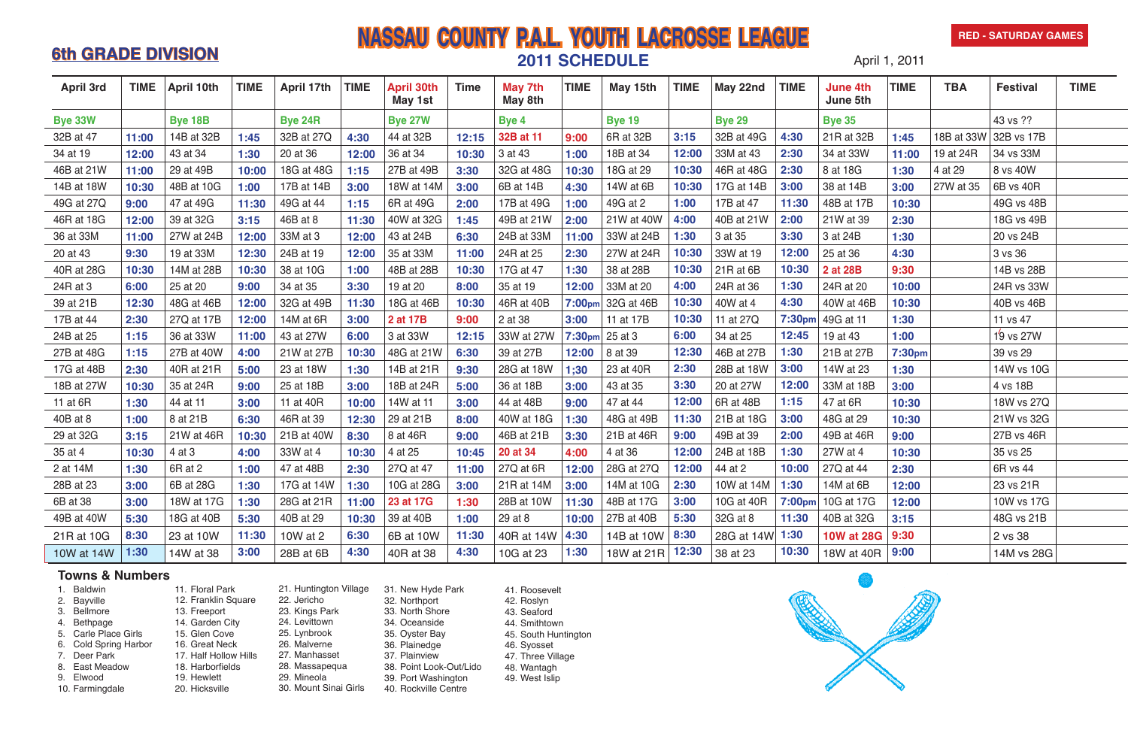# **6th GRADE DIVISION**<br> **2011 SCHEDULE** April 1, 2011 **NASSAU COUNTY P.A.L. YOUTH LACROSSE LEAGUE**

#### **RED - SATURDAY GAMES**



1. Baldwin 2. Bayville 3. Bellmore 4. Bethpage 5. Carle Place Girls 6. Cold Spring Harbor 7. Deer Park 8. East Meadow 9. Elwood 10. Farmingdale

11. Floral Park

12. Franklin Square 13. Freeport 14. Garden City 15. Glen Cove 16. Great Neck 17. Half Hollow Hills 18. Harborfields 19. Hewlett 20. Hicksville

21. Huntington Village 22. Jericho 23. Kings Park 24. Levittown 25. Lynbrook 26. Malverne 27. Manhasset 28. Massapequa 29. Mineola 30. Mount Sinai Girls

31. New Hyde Park 32. Northport 33. North Shore 34. Oceanside 35. Oyster Bay 36. Plainedge 37. Plainview 38. Point Look-Out/Lido 39. Port Washington

40. Rockville Centre

### **Towns & Numbers**

| <b>April 3rd</b> | <b>TIME</b> | April 10th     | <b>TIME</b> | April 17th     | <b>TIME</b> | <b>April 30th</b><br>May 1st | <b>Time</b> | May 7th<br>May 8th | <b>TIME</b>        | May 15th                        | <b>TIME</b> | May 22nd          | <b>TIME</b> | <b>June 4th</b><br>June 5th | <b>TIME</b> | <b>TBA</b> | <b>Festival</b>       | <b>TIME</b> |
|------------------|-------------|----------------|-------------|----------------|-------------|------------------------------|-------------|--------------------|--------------------|---------------------------------|-------------|-------------------|-------------|-----------------------------|-------------|------------|-----------------------|-------------|
| <b>Bye 33W</b>   |             | <b>Bye 18B</b> |             | <b>Bye 24R</b> |             | <b>Bye 27W</b>               |             | Bye 4              |                    | <b>Bye 19</b>                   |             | <b>Bye 29</b>     |             | <b>Bye 35</b>               |             |            | 43 vs ??              |             |
| 32B at 47        | 11:00       | 14B at 32B     | 1:45        | 32B at 27Q     | 4:30        | 44 at 32B                    | 12:15       | 32B at 11          | 9:00               | 6R at 32B                       | 3:15        | 32B at 49G        | 4:30        | 21R at 32B                  | 1:45        |            | 18B at 33W 32B vs 17B |             |
| 34 at 19         | 12:00       | 43 at 34       | 1:30        | 20 at 36       | 12:00       | 36 at 34                     | 10:30       | 3 at 43            | 1:00               | 18B at 34                       | 12:00       | 33M at 43         | 2:30        | 34 at 33W                   | 11:00       | 19 at 24R  | 34 vs 33M             |             |
| 46B at 21W       | 11:00       | 29 at 49B      | 10:00       | 18G at 48G     | 1:15        | 27B at 49B                   | 3:30        | 32G at 48G         | 10:30              | 18G at 29                       | 10:30       | 46R at 48G        | 2:30        | 8 at 18G                    | 1:30        | 4 at 29    | 8 vs 40W              |             |
| 14B at 18W       | 10:30       | 48B at 10G     | 1:00        | 17B at 14B     | 3:00        | 18W at 14M                   | 3:00        | 6B at 14B          | 4:30               | 14W at 6B                       | 10:30       | 17G at 14B        | 3:00        | 38 at 14B                   | 3:00        | 27W at 35  | 6B vs 40R             |             |
| 49G at 27Q       | 9:00        | 47 at 49G      | 11:30       | 49G at 44      | 1:15        | 6R at 49G                    | 2:00        | 17B at 49G         | 1:00               | 49G at 2                        | 1:00        | 17B at 47         | 11:30       | 48B at 17B                  | 10:30       |            | 49G vs 48B            |             |
| 46R at 18G       | 12:00       | 39 at 32G      | 3:15        | 46B at 8       | 11:30       | 40W at 32G                   | 1:45        | 49B at 21W         | 2:00               | 21W at 40W                      | 4:00        | 40B at 21W        | 2:00        | 21W at 39                   | 2:30        |            | 18G vs 49B            |             |
| 36 at 33M        | 11:00       | 27W at 24B     | 12:00       | 33M at 3       | 12:00       | 43 at 24B                    | 6:30        | 24B at 33M         | 11:00              | 33W at 24B                      | 1:30        | 3 at 35           | 3:30        | 3 at 24B                    | 1:30        |            | 20 vs 24B             |             |
| 20 at 43         | 9:30        | 19 at 33M      | 12:30       | 24B at 19      | 12:00       | 35 at 33M                    | 11:00       | 24R at 25          | 2:30               | 27W at 24R                      | 10:30       | 33W at 19         | 12:00       | 25 at 36                    | 4:30        |            | 3 vs 36               |             |
| 40R at 28G       | 10:30       | 14M at 28B     | 10:30       | 38 at 10G      | 1:00        | 48B at 28B                   | 10:30       | 17G at 47          | 1:30               | 38 at 28B                       | 10:30       | 21R at 6B         | 10:30       | 2 at 28B                    | 9:30        |            | 14B vs 28B            |             |
| 24R at 3         | 6:00        | 25 at 20       | 9:00        | 34 at 35       | 3:30        | 19 at 20                     | 8:00        | 35 at 19           | 12:00              | 33M at 20                       | 4:00        | 24R at 36         | 1:30        | 24R at 20                   | 10:00       |            | 24R vs 33W            |             |
| 39 at 21B        | 12:30       | 48G at 46B     | 12:00       | 32G at 49B     | 11:30       | 18G at 46B                   | 10:30       | 46R at 40B         |                    | $7:00$ <sub>pm</sub> 32G at 46B | 10:30       | 40W at 4          | 4:30        | 40W at 46B                  | 10:30       |            | 40B vs 46B            |             |
| 17B at 44        | 2:30        | 27Q at 17B     | 12:00       | 14M at 6R      | 3:00        | 2 at 17B                     | 9:00        | 2 at 38            | 3:00               | 11 at 17B                       | 10:30       | 11 at 27Q         | 7:30pm      | 49G at 11                   | 1:30        |            | 11 vs 47              |             |
| 24B at 25        | 1:15        | 36 at 33W      | 11:00       | 43 at 27W      | 6:00        | 3 at 33W                     | 12:15       | 33W at 27W         | 7:30 <sub>pm</sub> | 25 at 3                         | 6:00        | 34 at 25          | 12:45       | 19 at 43                    | 1:00        |            | 19 vs 27W             |             |
| 27B at 48G       | 1:15        | 27B at 40W     | 4:00        | 21W at 27B     | 10:30       | 48G at 21W                   | 6:30        | 39 at 27B          | 12:00              | 8 at 39                         | 12:30       | 46B at 27B        | 1:30        | 21B at 27B                  | 7:30pm      |            | 39 vs 29              |             |
| 17G at 48B       | 2:30        | 40R at 21R     | 5:00        | 23 at 18W      | 1:30        | 14B at 21R                   | 9:30        | 28G at 18W         | 1;30               | 23 at 40R                       | 2:30        | 28B at 18W        | 3:00        | 14W at 23                   | 1:30        |            | 14W vs 10G            |             |
| 18B at 27W       | 10:30       | 35 at 24R      | 9:00        | 25 at 18B      | 3:00        | 18B at 24R                   | 5:00        | 36 at 18B          | 3:00               | 43 at 35                        | 3:30        | 20 at 27W         | 12:00       | 33M at 18B                  | 3:00        |            | 4 vs 18B              |             |
| 11 at 6R         | 1:30        | 44 at 11       | 3:00        | 11 at 40R      | 10:00       | 14W at 11                    | 3:00        | 44 at 48B          | 9:00               | 47 at 44                        | 12:00       | 6R at 48B         | 1:15        | 47 at 6R                    | 10:30       |            | 18W vs 27Q            |             |
| 40B at 8         | 1:00        | 8 at 21B       | 6:30        | 46R at 39      | 12:30       | 29 at 21B                    | 8:00        | 40W at 18G         | 1:30               | 48G at 49B                      | 11:30       | 21B at 18G        | 3:00        | 48G at 29                   | 10:30       |            | 21W vs 32G            |             |
| 29 at 32G        | 3:15        | 21W at 46R     | 10:30       | 21B at 40W     | 8:30        | 8 at 46R                     | 9:00        | 46B at 21B         | 3:30               | 21B at 46R                      | 9:00        | 49B at 39         | 2:00        | 49B at 46R                  | 9:00        |            | 27B vs 46R            |             |
| 35 at 4          | 10:30       | 4 at 3         | 4:00        | 33W at 4       | 10:30       | 4 at 25                      | 10:45       | 20 at 34           | 4:00               | 4 at 36                         | 12:00       | 24B at 18B        | 1:30        | 27W at 4                    | 10:30       |            | 35 vs 25              |             |
| 2 at 14M         | 1:30        | 6R at 2        | 1:00        | 47 at 48B      | 2:30        | 27Q at 47                    | 11:00       | 27Q at 6R          | 12:00              | 28G at 27Q                      | 12:00       | 44 at 2           | 10:00       | 27Q at 44                   | 2:30        |            | 6R vs 44              |             |
| 28B at 23        | 3:00        | 6B at 28G      | 1:30        | 17G at 14W     | 1:30        | 10G at 28G $\vert$           | 3:00        | 21R at 14M         | 3:00               | 14M at 10G 2:30                 |             | 10W at 14M   1:30 |             | 14M at $6B$                 | 12:00       |            | 23 vs 21R             |             |
| 6B at 38         | 3:00        | 18W at 17G     | 1:30        | 28G at 21R     | 11:00       | 23 at 17G                    | 1:30        | 28B at 10W         | 11:30              | 48B at 17G                      | 3:00        | 10G at 40R        |             | 7:00pm 10G at 17G           | 12:00       |            | 10W vs 17G            |             |
| 49B at 40W       | 5:30        | 18G at 40B     | 5:30        | 40B at 29      | 10:30       | 39 at 40B                    | 1:00        | 29 at 8            | 10:00              | 27B at 40B                      | 5:30        | 32G at 8          | 11:30       | 40B at 32G                  | 3:15        |            | 48G vs 21B            |             |
| 21R at 10G       | 8:30        | 23 at 10W      | 11:30       | 10W at 2       | 6:30        | 6B at 10W                    | 11:30       | 40R at 14W   4:30  |                    | 14B at 10W   8:30               |             | 28G at 14W 1:30   |             | <b>10W at 28G</b>           | 9:30        |            | 2 vs 38               |             |
| 10W at 14W       | 1:30        | 14W at 38      | 3:00        | 28B at 6B      | 4:30        | 40R at 38                    | 4:30        | 10G at 23          | 1:30               | 18W at 21R   12:30              |             | 38 at 23          | 10:30       | 18W at 40R   9:00           |             |            | 14M vs 28G            |             |

41. Roosevelt

- 42. Roslyn 43. Seaford
- 44. Smithtown

45. South Huntington

- 46. Syosset
- 47. Three Village
- 48. Wantagh
- 49. West Islip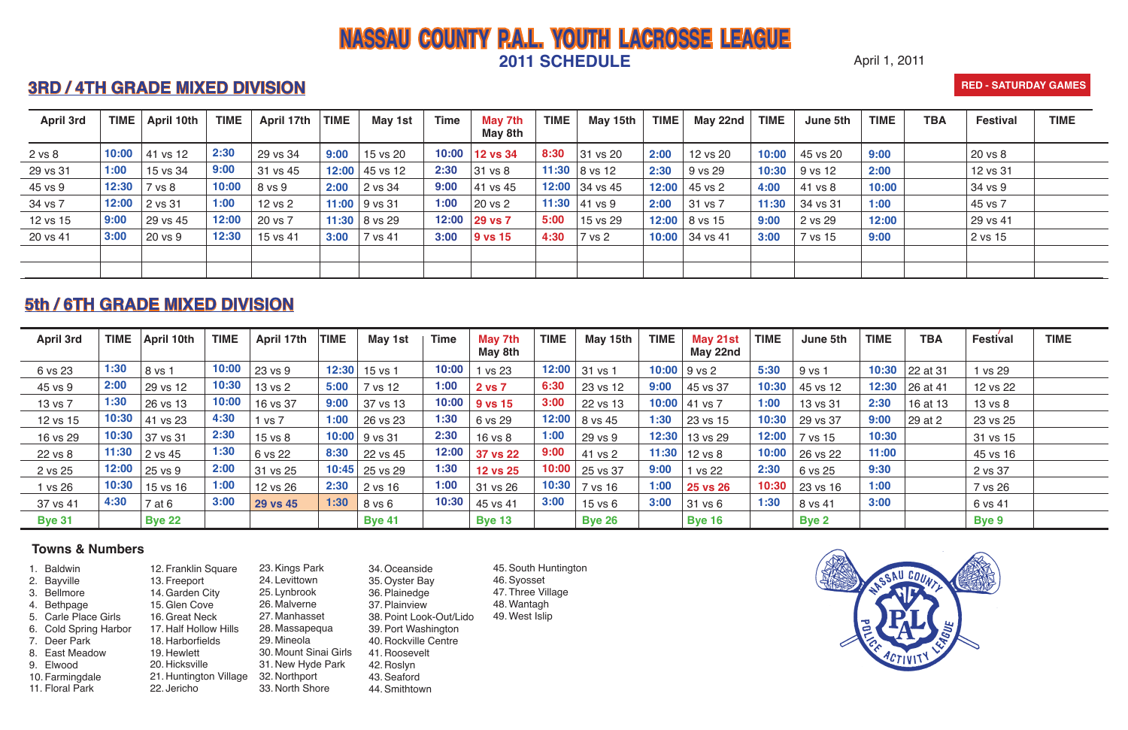### April 1, 2011

## **3RD / 4TH GRADE MIXED DIVISION**

# **NASSAU COUNTY P.A.L. YOUTH LACROSSE LEAGUE 2011 SCHEDULE**

#### **RED - SATURDAY GAMES**

- 1. Baldwin 2. Bayville 3. Bellmore 4. Bethpage 5. Carle Place Girls 6. Cold Spring Harbor 7. Deer Park 8. East Meadow 9. Elwood 10. Farmingdale 11. Floral Park
- 12. Franklin Square 13. Freeport 14.Garden City 15.Glen Cove 16.Great Neck 17. Half Hollow Hills 18. Harborfields 19. Hewlett 20. Hicksville 21. Huntington Village 32. Northport 22. Jericho
- 23.Kings Park 24. Levittown 25. Lynbrook 26. Malverne 27. Manhasset 28. Massapequa 29. Mineola 30. Mount Sinai Girls 31. New Hyde Park 33. North Shore
- 34.Oceanside
- 35.Oyster Bay
- 36.Plainedge
- 37.Plainview
- 38.Point Look-Out/Lido
- 39.Port Washington
- 40. Rockville Centre
- 41. Roosevelt
- - 42. Roslyn
		- 43.Seaford 44.Smithtown

| <b>April 3rd</b> |       | TIME   April 10th | <b>TIME</b> | April 17th | <b>TIME</b> | May 1st           | <b>Time</b> | May 7th<br>May 8th | <b>TIME</b> | May 15th        | <b>TIME</b> | May 21st<br>May 22nd | <b>TIME</b> | June 5th     | <b>TIME</b> | <b>TBA</b>       | <b>Festival</b> | <b>TIME</b> |
|------------------|-------|-------------------|-------------|------------|-------------|-------------------|-------------|--------------------|-------------|-----------------|-------------|----------------------|-------------|--------------|-------------|------------------|-----------------|-------------|
| 6 vs 23          | 1:30  | 8 vs 1            | 10:00       | 23 vs 9    |             | $12:30$ 15 vs 1   | 10:00       | 1 vs 23            |             | $12:00$ 31 vs 1 |             | $10:00$   9 vs 2     | 5:30        | 9 vs 1       |             | 10:30 22 at 31   | 1 vs 29         |             |
| 45 vs 9          | 2:00  | 29 vs 12          | 10:30       | 13 vs 2    | 5:00        | 7 vs 12           | 1:00        | 2 vs 7             | 6:30        | 23 vs 12        | 9:00        | 45 vs 37             | 10:30       | 45 vs 12     | 12:30       | $\vert$ 26 at 41 | 12 vs 22        |             |
| 13 vs 7          | 1:30  | 26 vs 13          | 10:00       | 16 vs 37   | 9:00        | 37 vs 13          | 10:00       | 9 vs 15            | 3:00        | 22 vs 13        | 10:00       | 41 vs 7              | 1:00        | 13 vs 31     | 2:30        | 16 at 13         | 13 vs 8         |             |
| 12 vs 15         | 10:30 | 41 vs 23          | 4:30        | vs 7       | 1:00        | 26 vs 23          | 1:30        | 6 vs 29            | 12:00       | 8 vs 45         | 1:30        | 23 vs 15             | 10:30       | 29 vs 37     | 9:00        | $\vert$ 29 at 2  | 23 vs 25        |             |
| 16 vs 29         | 10:30 | 37 vs 31          | 2:30        | 15 vs 8    |             | $10:00$   9 vs 31 | 2:30        | 16 vs 8            | 1:00        | 29 vs 9         | 12:30       | 13 vs 29             | 12:00       | 7 vs 15      | 10:30       |                  | 31 vs 15        |             |
| 22 vs 8          | 11:30 | 2 vs 45           | 1:30        | 6 vs 22    | 8:30        | 22 vs 45          | 12:00       | <b>37 vs 22</b>    | 9:00        | 41 vs 2         | 11:30       | 12 vs 8              | 10:00       | 26 vs 22     | 11:00       |                  | 45 vs 16        |             |
| 2 vs 25          | 12:00 | 25 vs 9           | 2:00        | 31 vs 25   |             | $10:45$ 25 vs 29  | 1:30        | <b>12 vs 25</b>    | 10:00       | 25 vs 37        | 9:00        | 1 vs 22              | 2:30        | 6 vs 25      | 9:30        |                  | 2 vs 37         |             |
| 1 vs 26          | 10:30 | 15 vs 16          | 1:00        | 12 vs 26   | 2:30        | 2 vs 16           | 1:00        | 31 vs 26           | 10:30       | 7 vs 16         | 1:00        | <b>25 vs 26</b>      | 10:30       | 23 vs 16     | 1:00        |                  | 7 vs 26         |             |
| 37 vs 41         | 4:30  | 7 at 6            | 3:00        | 29 vs 45   | 1:30        | 8 vs 6            | 10:30       | 45 vs 41           | 3:00        | $15$ vs $6$     | 3:00        | 31 vs 6              | 1:30        | 8 vs 41      | 3:00        |                  | 6 vs 41         |             |
| <b>Bye 31</b>    |       | <b>Bye 22</b>     |             |            |             | <b>Bye 41</b>     |             | <b>Bye 13</b>      |             | <b>Bye 26</b>   |             | <b>Bye 16</b>        |             | <b>Bye 2</b> |             |                  | <b>Bye 9</b>    |             |

### **Towns & Numbers**

- 45.South Huntington
- 46.Syosset
- 47. Three Village
- 48.Wantagh 49.West Islip



| <b>April 3rd</b> | <b>TIME</b> | April 10th | <b>TIME</b> | April 17th | <b>TIME</b> | May 1st            | <b>Time</b> | May 7th<br>May 8th   | <b>TIME</b> | May 15th                  | <b>TIME</b> | May 22nd         | <b>TIME</b> | June 5th         | <b>TIME</b> | <b>TBA</b> | <b>Festival</b> | <b>TIME</b> |
|------------------|-------------|------------|-------------|------------|-------------|--------------------|-------------|----------------------|-------------|---------------------------|-------------|------------------|-------------|------------------|-------------|------------|-----------------|-------------|
| 2 vs 8           | 10:00       | 41 vs 12   | 2:30        | 29 vs 34   | 9:00        | 15 vs 20           | 10:00       | <b>12 vs 34</b>      | 8:30        | 31 vs 20                  | 2:00        | 12 vs 20         | 10:00       | 45 vs 20         | 9:00        |            | 20 vs 8         |             |
| 29 vs 31         | 1:00        | 15 vs 34   | 9:00        | 31 vs 45   |             | 12:00 $ $ 45 vs 12 | 2:30        | $ 31 \text{ vs } 8 $ |             | 11:30 $ 8 \text{ vs } 12$ | 2:30        | 9 vs 29          | 10:30       | 9 vs 12          | 2:00        |            | 12 vs 31        |             |
| 45 vs 9          | 12:30       | 7 vs 8     | 10:00       | 8 vs 9     | 2:00        | 2 vs 34            | 9:00        | 41 vs 45             |             | 12:00 $34$ vs 45          | 12:00       | 45 vs 2          | 4:00        | 41 vs 8          | 10:00       |            | 34 vs 9         |             |
| 34 vs 7          | 12:00       | 2 vs 31    | 1:00        | 12 vs 2    |             | 11:00 $ 9$ vs 31   | 1:00        | 20 vs 2              |             | 11:30 $ 41 \text{ vs } 9$ | 2:00        | 31 vs 7          | 11:30       | $\vert$ 34 vs 31 | 1:00        |            | 45 vs 7         |             |
| 12 vs 15         | 9:00        | 29 vs 45   | 12:00       | 20 vs 7    |             | 11:30   8 vs 29    | 12:00       | $ 29 \text{ vs } 7$  | 5:00        | 15 vs 29                  |             | 12:00   8 vs 15  | 9:00        | 2 vs 29          | 12:00       |            | 29 vs 41        |             |
| 20 vs 41         | 3:00        | 20 vs 9    | 12:30       | 15 vs 41   | 3:00        | 7 vs 41            | 3:00        | $ 9 \text{ vs } 15$  | 4:30        | 7 vs 2                    |             | 10:00 $34$ vs 41 | 3:00        | 7 vs 15          | 9:00        |            | 2 vs 15         |             |
|                  |             |            |             |            |             |                    |             |                      |             |                           |             |                  |             |                  |             |            |                 |             |
|                  |             |            |             |            |             |                    |             |                      |             |                           |             |                  |             |                  |             |            |                 |             |

## **5th / 6TH GRADE MIXED DIVISION**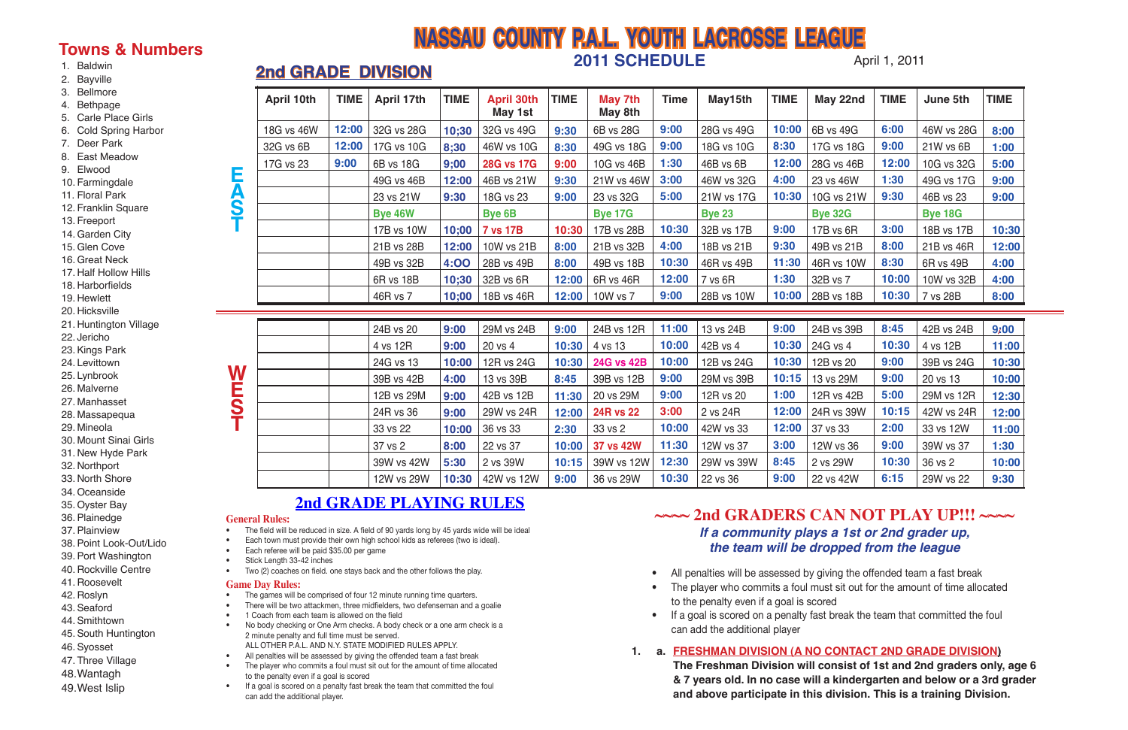April 1, 2011

• The player who commits a foul must sit out for the amount of time allocated

# **NASSAU COUNTY P.A.L. YOUTH LACROSSE LEAGUE 2011 SCHEDULE 2nd GRADE DIVISION**

#### 1. Baldwin

- 2. Bayville
- 3. Bellmore
- 4. Bethpage
- 5. Carle Place Girls
- 6. Cold Spring Harbor
- 7. Deer Park
- 8. East Meadow
- 9. Elwood
- 10. Farmingdale
- 11. Floral Park
- 12. Franklin Square
- 13. Freeport
- 14.Garden City
- 15.Glen Cove
- 16.Great Neck
- 17. Half Hollow Hills
- 18. Harborfields
- 19. Hewlett
- 20. Hicksville
- 21. Huntington Village
- 22. Jericho
- 23.Kings Park
- 24. Levittown
- 25. Lynbrook
- 26. Malverne
- 27. Manhasset
- 28. Massapequa
- 29. Mineola
- 30. Mount Sinai Girls
- 31. New Hyde Park
- 32. Northport
- 33. North Shore
- 34.Oceanside
- 35.Oyster Bay
- 36.Plainedge
- 37.Plainview
- 38.Point Look-Out/Lido
- 39.Port Washington
- 40. Rockville Centre
- 41. Roosevelt
- 42. Roslyn
- 43.Seaford
- 44.Smithtown
- 45.South Huntington
- 46.Syosset
- 47. Three Village
- 48.Wantagh
- 49.West Islip

## **Towns & Numbers**

## **General Rules:**

 $\overline{\phantom{a}}$ 

- The field will be reduced in size. A field of 90 yards long by 45 yards wide will be ideal
- Each town must provide their own high school kids as referees (two is ideal).
- Each referee will be paid \$35.00 per game
- Stick Length 33-42 inches
- Two (2) coaches on field. one stays back and the other follows the play.

- The games will be comprised of four 12 minute running time quarters.
- There will be two attackmen, three midfielders, two defenseman and a goalie
- 1 Coach from each team is allowed on the field
- No body checking or One Arm checks. A body check or a one arm check is a 2 minute penalty and full time must be served. ALL OTHER P.A.L. AND N.Y. STATE MODIFIED RULES APPLY.
- All penalties will be assessed by giving the offended team a fast break
- The player who commits a foul must sit out for the amount of time allocated to the penalty even if a goal is scored
- If a goal is scored on a penalty fast break the team that committed the foul can add the additional player.
- All penalties will be assessed by giving the offended team a fast break
- to the penalty even if a goal is scored
- If a goal is scored on a penalty fast break the team that committed the foul can add the additional player
- **1. a. FRESHMAN DIVISION (A NO CONTACT 2ND GRADE DIVISION)**

#### **Game Day Rules:**

**The Freshman Division will consist of 1st and 2nd graders only, age 6 & 7 years old. In no case will a kindergarten and below or a 3rd grader and above participate in this division. This is a training Division.**



## **2nd GRADE PLAYING RULES ~~~~ 2nd GRADERS CAN NOT PLAY UP!!! ~~~~ If a community plays a 1st or 2nd grader up, the team will be dropped from the league**

|            | <b>April 10th</b> | <b>TIME</b> | <b>April 17th</b> | <b>TIME</b> | <b>April 30th</b><br>May 1st | <b>TIME</b> | May 7th<br>May 8th | <b>Time</b> | May15th       | <b>TIME</b> | May 22nd       | <b>TIME</b> | June 5th       | <b>TIME</b>       |
|------------|-------------------|-------------|-------------------|-------------|------------------------------|-------------|--------------------|-------------|---------------|-------------|----------------|-------------|----------------|-------------------|
|            | 18G vs 46W        | 12:00       | 32G vs 28G        | 10;30       | 32G vs 49G                   | 9:30        | 6B vs 28G          | 9:00        | 28G vs 49G    | 10:00       | 6B vs 49G      | 6:00        | 46W vs 28G     | 8:00              |
|            | 32G vs 6B         | 12:00       | 17G vs 10G        | 8:30        | 46W vs 10G                   | 8:30        | 49G vs 18G         | 9:00        | 18G vs 10G    | 8:30        | 17G vs 18G     | 9:00        | 21W vs 6B      | 1:00              |
|            | 17G vs 23         | 9:00        | 6B vs 18G         | 9;00        | <b>28G vs 17G</b>            | 9:00        | 10G vs 46B         | 1:30        | 46B vs 6B     | 12:00       | 28G vs 46B     | 12:00       | 10G vs 32G     | 5:00              |
| Ę          |                   |             | 49G vs 46B        | 12:00       | 46B vs 21W                   | 9:30        | 21W vs 46W         | 3:00        | 46W vs 32G    | 4:00        | 23 vs 46W      | 1:30        | 49G vs 17G     | 9:00              |
| <b>ASP</b> |                   |             | 23 vs 21W         | 9:30        | 18G vs 23                    | 9:00        | 23 vs 32G          | 5:00        | 21W vs 17G    | 10:30       | 10G vs 21W     | 9:30        | 46B vs 23      | 9:00              |
|            |                   |             | <b>Bye 46W</b>    |             | Bye 6B                       |             | <b>Bye 17G</b>     |             | <b>Bye 23</b> |             | <b>Bye 32G</b> |             | <b>Bye 18G</b> |                   |
|            |                   |             | 17B vs 10W        | 10;00       | <b>7 vs 17B</b>              | 10:30       | 17B vs 28B         | 10:30       | 32B vs 17B    | 9:00        | 17B vs 6R      | 3:00        | 18B vs 17B     | 10:30             |
|            |                   |             | 21B vs 28B        | 12:00       | 10W vs 21B                   | 8:00        | 21B vs 32B         | 4:00        | 18B vs 21B    | 9:30        | 49B vs 21B     | 8:00        | 21B vs 46R     | 12:00             |
|            |                   |             | 49B vs 32B        | <b>4:00</b> | 28B vs 49B                   | 8:00        | 49B vs 18B         | 10:30       | 46R vs 49B    | 11:30       | 46R vs 10W     | 8:30        | 6R vs 49B      | 4:00              |
|            |                   |             | 6R vs 18B         | 10;30       | 32B vs 6R                    | 12:00       | 6R vs 46R          | 12:00       | 7 vs 6R       | 1:30        | 32B vs 7       | 10:00       | 10W vs 32B     | 4:00              |
|            |                   |             | 46R vs 7          |             | 10;00   18B vs 46R           | 12:00       | 10W vs 7           | 9:00        | 28B vs 10W    | 10:00       | 28B vs 18B     | 10:30       | 7 vs 28B       | 8:00              |
|            |                   |             |                   |             |                              |             |                    |             |               |             |                |             |                |                   |
|            |                   |             | 24B vs 20         | 9:00        | 29M vs 24B                   | 9:00        | 24B vs 12R         | 11:00       | 13 vs 24B     | 9:00        | 24B vs 39B     | 8:45        | 42B vs 24B     | 9 <sub>k</sub> 00 |
|            |                   |             | 4 vs 12R          | 9:00        | 20 vs 4                      | 10:30       | 4 vs 13            | 10:00       | 42B vs 4      | 10:30       | 24G vs 4       | 10:30       | 4 vs 12B       | 11:00             |
|            |                   |             | 24G vs 13         | 10:00       | 12R vs 24G                   | 10:30       | <b>24G vs 42B</b>  | 10:00       | 12B vs 24G    | 10:30       | 12B vs 20      | 9:00        | 39B vs 24G     | 10:30             |
| W          |                   |             | 39B vs 42B        | 4:00        | 13 vs 39B                    | 8:45        | 39B vs 12B         | 9:00        | 29M vs 39B    | 10:15       | 13 vs 29M      | 9:00        | 20 vs 13       | 10:00             |
| <b>EST</b> |                   |             | 12B vs 29M        | 9:00        | 42B vs 12B                   | 11:30       | 20 vs 29M          | 9:00        | 12R vs 20     | 1:00        | 12R vs 42B     | 5:00        | 29M vs 12R     | 12:30             |
|            |                   |             | 24R vs 36         | 9:00        | 29W vs 24R                   | 12:00       | <b>24R vs 22</b>   | 3:00        | 2 vs 24R      | 12:00       | 24R vs 39W     | 10:15       | 42W vs 24R     | 12:00             |
|            |                   |             | 33 vs 22          | 10:00       | 36 vs 33                     | 2:30        | 33 vs 2            | 10:00       | 42W vs 33     | 12:00       | 37 vs 33       | 2:00        | 33 vs 12W      | 11:00             |
|            |                   |             | 37 vs 2           | 8:00        | 22 vs 37                     | 10:00       | 37 vs 42W          | 11:30       | 12W vs 37     | 3:00        | 12W vs 36      | 9:00        | 39W vs 37      | 1:30              |
|            |                   |             | 39W vs 42W        | 5:30        | 2 vs 39W                     | 10:15       | 39W vs 12W         | 12:30       | 29W vs 39W    | 8:45        | 2 vs 29W       | 10:30       | 36 vs 2        | 10:00             |
|            |                   |             | 12W vs 29W        | 10:30       | 42W vs 12W                   | 9:00        | 36 vs 29W          | 10:30       | 22 vs 36      | 9:00        | 22 vs 42W      | 6:15        | 29W vs 22      | 9:30              |